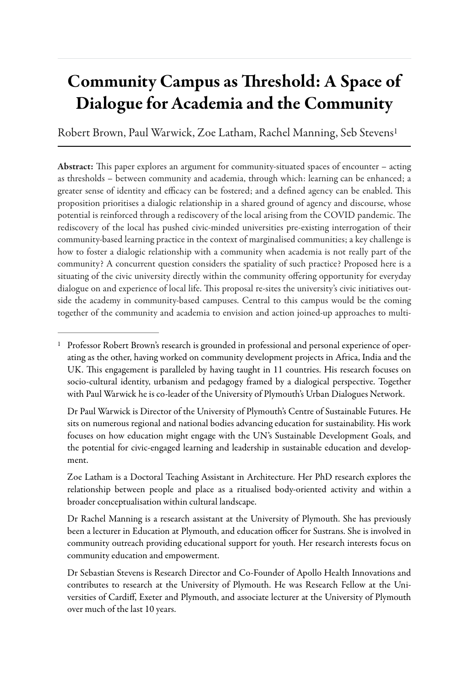# Community Campus as Threshold: A Space of Dialogue for Academia and the Community

Robert Brown, Paul Warwick, Zoe Latham, Rachel Manning, Seb Steven[s1](#page--1-0)

Abstract: This paper explores an argument for community-situated spaces of encounter – acting as thresholds – between community and academia, through which: learning can be enhanced; a greater sense of identity and efficacy can be fostered; and a defined agency can be enabled. This proposition prioritises a dialogic relationship in a shared ground of agency and discourse, whose potential is reinforced through a rediscovery of the local arising from the COVID pandemic. The rediscovery of the local has pushed civic-minded universities pre-existing interrogation of their community-based learning practice in the context of marginalised communities; a key challenge is how to foster a dialogic relationship with a community when academia is not really part of the community? A concurrent question considers the spatiality of such practice? Proposed here is a situating of the civic university directly within the community offering opportunity for everyday dialogue on and experience of local life. This proposal re-sites the university's civic initiatives outside the academy in community-based campuses. Central to this campus would be the coming together of the community and academia to envision and action joined-up approaches to multi-

 $P<sup>1</sup>$  $P<sup>1</sup>$  $P<sup>1</sup>$  Professor Robert Brown's research is grounded in professional and personal experience of operating as the other, having worked on community development projects in Africa, India and the UK. This engagement is paralleled by having taught in 11 countries. His research focuses on socio-cultural identity, urbanism and pedagogy framed by a dialogical perspective. Together with Paul Warwick he is co-leader of the University of Plymouth's Urban Dialogues Network.

<span id="page-0-3"></span>Dr Paul Warwick is Director of the University of Plymouth's Centre of Sustainable Futures. He sits on numerous regional and national bodies advancing education for sustainability. His work focuses on how education might engage with the UN's Sustainable Development Goals, and the potential for civic-engaged learning and leadership in sustainable education and development.

<span id="page-0-1"></span>Zoe Latham is a Doctoral Teaching Assistant in Architecture. Her PhD research explores the relationship between people and place as a ritualised body-oriented activity and within a broader conceptualisation within cultural landscape.

Dr Rachel Manning is a research assistant at the University of Plymouth. She has previously been a lecturer in Education at Plymouth, and education officer for Sustrans. She is involved in community outreach providing educational support for youth. Her research interests focus on community education and empowerment.

<span id="page-0-2"></span><span id="page-0-0"></span>Dr Sebastian Stevens is Research Director and Co-Founder of Apollo Health Innovations and contributes to research at the University of Plymouth. He was Research Fellow at the Universities of Cardiff, Exeter and Plymouth, and associate lecturer at the University of Plymouth over much of the last 10 years.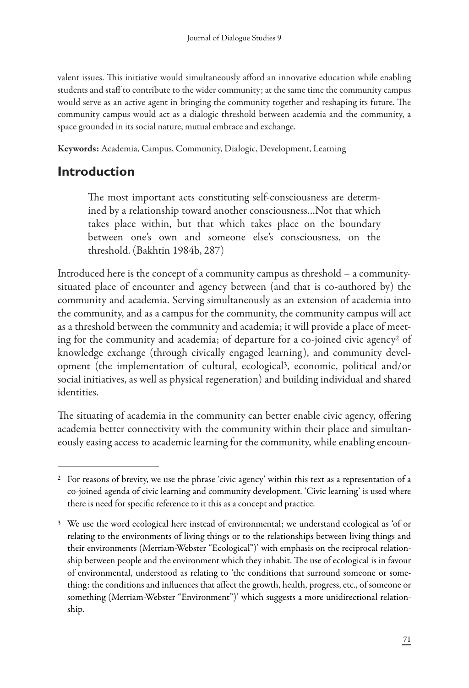valent issues. This initiative would simultaneously afford an innovative education while enabling students and staff to contribute to the wider community; at the same time the community campus would serve as an active agent in bringing the community together and reshaping its future. The community campus would act as a dialogic threshold between academia and the community, a space grounded in its social nature, mutual embrace and exchange.

Keywords: Academia, Campus, Community, Dialogic, Development, Learning

### **Introduction**

The most important acts constituting self-consciousness are determined by a relationship toward another consciousness…Not that which takes place within, but that which takes place on the boundary between one's own and someone else's consciousness, on the threshold. (Bakhtin 1984b, 287)

Introduced here is the concept of a community campus as threshold – a communitysituated place of encounter and agency between (and that is co-authored by) the community and academia. Serving simultaneously as an extension of academia into the community, and as a campus for the community, the community campus will act as a threshold between the community and academia; it will provide a place of meeting for the communit[y](#page--1-2) and academia; of departure for a co-joined civic agency<sup>[2](#page--1-2)</sup> of knowledge exchange (through civically engaged learning), and community devel-opment (the implementation of cultural, ecological<sup>[3](#page--1-3)</sup>, economic, political and/or social initiatives, as well as physical regeneration) and building individual and shared identities.

The situating of academia in the community can better enable civic agency, offering academia better connectivity with the community within their place and simultaneously easing access to academic learning for the community, while enabling encoun-

<sup>&</sup>lt;sup>[2](#page--1-4)</sup> For reasons of brevity, we use the phrase 'civic agency' within this text as a representation of a co-joined agenda of civic learning and community development. 'Civic learning' is used where there is need for specific reference to it this as a concept and practice.

<sup>&</sup>lt;sup>[3](#page--1-5)</sup> We use the word ecological here instead of environmental; we understand ecological as 'of or relating to the environments of living things or to the relationships between living things and their environments (Merriam-Webster "Ecological")' with emphasis on the reciprocal relationship between people and the environment which they inhabit. The use of ecological is in favour of environmental, understood as relating to 'the conditions that surround someone or something: the conditions and influences that affect the growth, health, progress, etc., of someone or something (Merriam-Webster "Environment")' which suggests a more unidirectional relationship.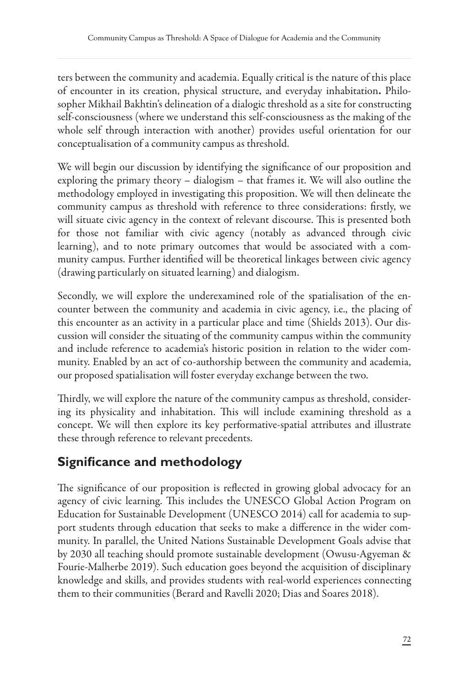ters between the community and academia. Equally critical is the nature of this place of encounter in its creation, physical structure, and everyday inhabitation. Philosopher Mikhail Bakhtin's delineation of a dialogic threshold as a site for constructing self-consciousness (where we understand this self-consciousness as the making of the whole self through interaction with another) provides useful orientation for our conceptualisation of a community campus as threshold.

We will begin our discussion by identifying the significance of our proposition and exploring the primary theory – dialogism – that frames it. We will also outline the methodology employed in investigating this proposition. We will then delineate the community campus as threshold with reference to three considerations: firstly, we will situate civic agency in the context of relevant discourse. This is presented both for those not familiar with civic agency (notably as advanced through civic learning), and to note primary outcomes that would be associated with a community campus. Further identified will be theoretical linkages between civic agency (drawing particularly on situated learning) and dialogism.

Secondly, we will explore the underexamined role of the spatialisation of the encounter between the community and academia in civic agency, i.e., the placing of this encounter as an activity in a particular place and time (Shields 2013). Our discussion will consider the situating of the community campus within the community and include reference to academia's historic position in relation to the wider community. Enabled by an act of co-authorship between the community and academia, our proposed spatialisation will foster everyday exchange between the two.

Thirdly, we will explore the nature of the community campus as threshold, considering its physicality and inhabitation. This will include examining threshold as a concept. We will then explore its key performative-spatial attributes and illustrate these through reference to relevant precedents.

# **Significance and methodology**

The significance of our proposition is reflected in growing global advocacy for an agency of civic learning. This includes the UNESCO Global Action Program on Education for Sustainable Development (UNESCO 2014) call for academia to support students through education that seeks to make a difference in the wider community. In parallel, the United Nations Sustainable Development Goals advise that by 2030 all teaching should promote sustainable development (Owusu-Agyeman & Fourie-Malherbe 2019). Such education goes beyond the acquisition of disciplinary knowledge and skills, and provides students with real-world experiences connecting them to their communities (Berard and Ravelli 2020; Dias and Soares 2018).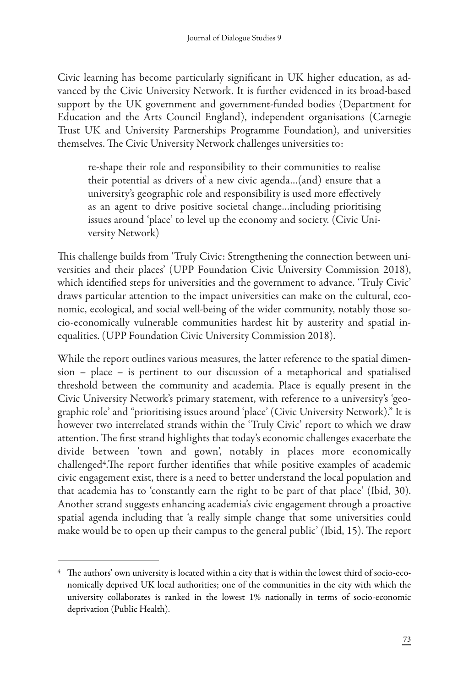Civic learning has become particularly significant in UK higher education, as advanced by the Civic University Network. It is further evidenced in its broad-based support by the UK government and government-funded bodies (Department for Education and the Arts Council England), independent organisations (Carnegie Trust UK and University Partnerships Programme Foundation), and universities themselves. The Civic University Network challenges universities to:

re-shape their role and responsibility to their communities to realise their potential as drivers of a new civic agenda…(and) ensure that a university's geographic role and responsibility is used more effectively as an agent to drive positive societal change…including prioritising issues around 'place' to level up the economy and society. (Civic University Network)

This challenge builds from 'Truly Civic: Strengthening the connection between universities and their places' (UPP Foundation Civic University Commission 2018), which identified steps for universities and the government to advance. 'Truly Civic' draws particular attention to the impact universities can make on the cultural, economic, ecological, and social well-being of the wider community, notably those socio-economically vulnerable communities hardest hit by austerity and spatial inequalities. (UPP Foundation Civic University Commission 2018).

While the report outlines various measures, the latter reference to the spatial dimension – place – is pertinent to our discussion of a metaphorical and spatialised threshold between the community and academia. Place is equally present in the Civic University Network's primary statement, with reference to a university's 'geographic role' and "prioritising issues around 'place' (Civic University Network)." It is however two interrelated strands within the 'Truly Civic' report to which we draw attention. The first strand highlights that today's economic challenges exacerbate the divide between 'town and gown', notably in places more economically  $challenged<sup>4</sup>$  $challenged<sup>4</sup>$  $challenged<sup>4</sup>$ . The report further identifies that while positive examples of academic civic engagement exist, there is a need to better understand the local population and that academia has to 'constantly earn the right to be part of that place' (Ibid, 30). Another strand suggests enhancing academia's civic engagement through a proactive spatial agenda including that 'a really simple change that some universities could make would be to open up their campus to the general public' (Ibid, 15). The report

 $4$  The authors' own university is located within a city that is within the lowest third of socio-economically deprived UK local authorities; one of the communities in the city with which the university collaborates is ranked in the lowest 1% nationally in terms of socio-economic deprivation (Public Health).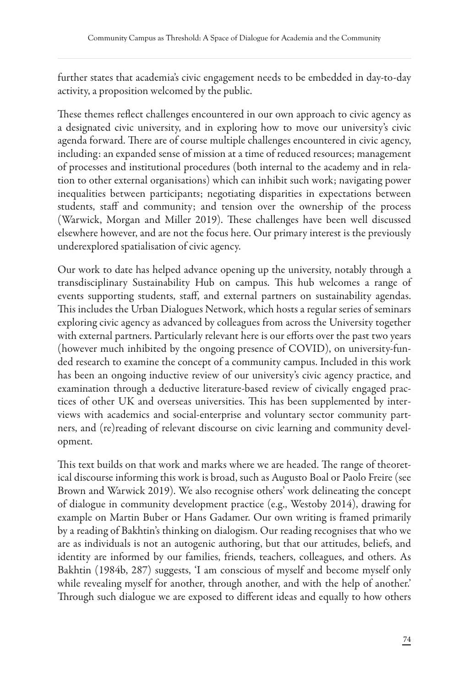further states that academia's civic engagement needs to be embedded in day-to-day activity, a proposition welcomed by the public.

These themes reflect challenges encountered in our own approach to civic agency as a designated civic university, and in exploring how to move our university's civic agenda forward. There are of course multiple challenges encountered in civic agency, including: an expanded sense of mission at a time of reduced resources; management of processes and institutional procedures (both internal to the academy and in relation to other external organisations) which can inhibit such work; navigating power inequalities between participants; negotiating disparities in expectations between students, staff and community; and tension over the ownership of the process (Warwick, Morgan and Miller 2019). These challenges have been well discussed elsewhere however, and are not the focus here. Our primary interest is the previously underexplored spatialisation of civic agency.

Our work to date has helped advance opening up the university, notably through a transdisciplinary Sustainability Hub on campus. This hub welcomes a range of events supporting students, staff, and external partners on sustainability agendas. This includes the Urban Dialogues Network, which hosts a regular series of seminars exploring civic agency as advanced by colleagues from across the University together with external partners. Particularly relevant here is our efforts over the past two years (however much inhibited by the ongoing presence of COVID), on university-funded research to examine the concept of a community campus. Included in this work has been an ongoing inductive review of our university's civic agency practice, and examination through a deductive literature-based review of civically engaged practices of other UK and overseas universities. This has been supplemented by interviews with academics and social-enterprise and voluntary sector community partners, and (re)reading of relevant discourse on civic learning and community development.

This text builds on that work and marks where we are headed. The range of theoretical discourse informing this work is broad, such as Augusto Boal or Paolo Freire (see Brown and Warwick 2019). We also recognise others' work delineating the concept of dialogue in community development practice (e.g., Westoby 2014), drawing for example on Martin Buber or Hans Gadamer. Our own writing is framed primarily by a reading of Bakhtin's thinking on dialogism. Our reading recognises that who we are as individuals is not an autogenic authoring, but that our attitudes, beliefs, and identity are informed by our families, friends, teachers, colleagues, and others. As Bakhtin (1984b, 287) suggests, 'I am conscious of myself and become myself only while revealing myself for another, through another, and with the help of another.' Through such dialogue we are exposed to different ideas and equally to how others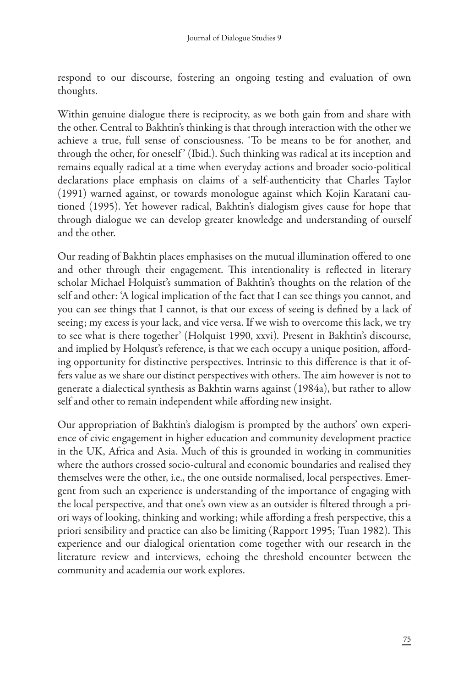respond to our discourse, fostering an ongoing testing and evaluation of own thoughts.

Within genuine dialogue there is reciprocity, as we both gain from and share with the other. Central to Bakhtin's thinking is that through interaction with the other we achieve a true, full sense of consciousness. 'To be means to be for another, and through the other, for oneself' (Ibid.). Such thinking was radical at its inception and remains equally radical at a time when everyday actions and broader socio-political declarations place emphasis on claims of a self-authenticity that Charles Taylor (1991) warned against, or towards monologue against which Kojin Karatani cautioned (1995). Yet however radical, Bakhtin's dialogism gives cause for hope that through dialogue we can develop greater knowledge and understanding of ourself and the other.

Our reading of Bakhtin places emphasises on the mutual illumination offered to one and other through their engagement. This intentionality is reflected in literary scholar Michael Holquist's summation of Bakhtin's thoughts on the relation of the self and other: 'A logical implication of the fact that I can see things you cannot, and you can see things that I cannot, is that our excess of seeing is defined by a lack of seeing; my excess is your lack, and vice versa. If we wish to overcome this lack, we try to see what is there together' (Holquist 1990, xxvi)*.* Present in Bakhtin's discourse, and implied by Holqust's reference, is that we each occupy a unique position, affording opportunity for distinctive perspectives. Intrinsic to this difference is that it offers value as we share our distinct perspectives with others. The aim however is not to generate a dialectical synthesis as Bakhtin warns against (1984a), but rather to allow self and other to remain independent while affording new insight.

Our appropriation of Bakhtin's dialogism is prompted by the authors' own experience of civic engagement in higher education and community development practice in the UK, Africa and Asia. Much of this is grounded in working in communities where the authors crossed socio-cultural and economic boundaries and realised they themselves were the other, i.e., the one outside normalised, local perspectives. Emergent from such an experience is understanding of the importance of engaging with the local perspective, and that one's own view as an outsider is filtered through a priori ways of looking, thinking and working; while affording a fresh perspective, this a priori sensibility and practice can also be limiting (Rapport 1995; Tuan 1982). This experience and our dialogical orientation come together with our research in the literature review and interviews, echoing the threshold encounter between the community and academia our work explores.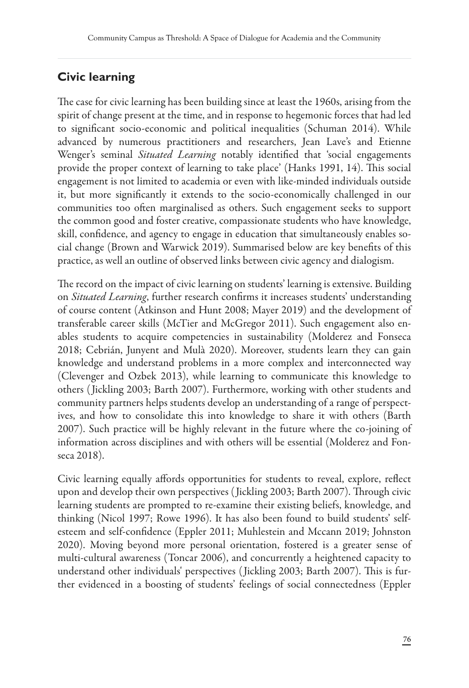#### **Civic learning**

The case for civic learning has been building since at least the 1960s, arising from the spirit of change present at the time, and in response to hegemonic forces that had led to significant socio-economic and political inequalities (Schuman 2014). While advanced by numerous practitioners and researchers, Jean Lave's and Etienne Wenger's seminal *Situated Learning* notably identified that 'social engagements provide the proper context of learning to take place' (Hanks 1991, 14). This social engagement is not limited to academia or even with like-minded individuals outside it, but more significantly it extends to the socio-economically challenged in our communities too often marginalised as others. Such engagement seeks to support the common good and foster creative, compassionate students who have knowledge, skill, confidence, and agency to engage in education that simultaneously enables social change (Brown and Warwick 2019). Summarised below are key benefits of this practice, as well an outline of observed links between civic agency and dialogism.

The record on the impact of civic learning on students' learning is extensive. Building on *Situated Learning*, further research confirms it increases students' understanding of course content (Atkinson and Hunt 2008; Mayer 2019) and the development of transferable career skills (McTier and McGregor 2011). Such engagement also enables students to acquire competencies in sustainability (Molderez and Fonseca 2018; Cebrián, Junyent and Mulà 2020). Moreover, students learn they can gain knowledge and understand problems in a more complex and interconnected way (Clevenger and Ozbek 2013), while learning to communicate this knowledge to others ( Jickling 2003; Barth 2007). Furthermore, working with other students and community partners helps students develop an understanding of a range of perspectives, and how to consolidate this into knowledge to share it with others (Barth 2007). Such practice will be highly relevant in the future where the co-joining of information across disciplines and with others will be essential (Molderez and Fonseca 2018).

Civic learning equally affords opportunities for students to reveal, explore, reflect upon and develop their own perspectives (Jickling 2003; Barth 2007). Through civic learning students are prompted to re-examine their existing beliefs, knowledge, and thinking (Nicol 1997; Rowe 1996). It has also been found to build students' selfesteem and self-confidence (Eppler 2011; Muhlestein and Mccann 2019; Johnston 2020). Moving beyond more personal orientation, fostered is a greater sense of multi-cultural awareness (Toncar 2006), and concurrently a heightened capacity to understand other individuals' perspectives (Jickling 2003; Barth 2007). This is further evidenced in a boosting of students' feelings of social connectedness (Eppler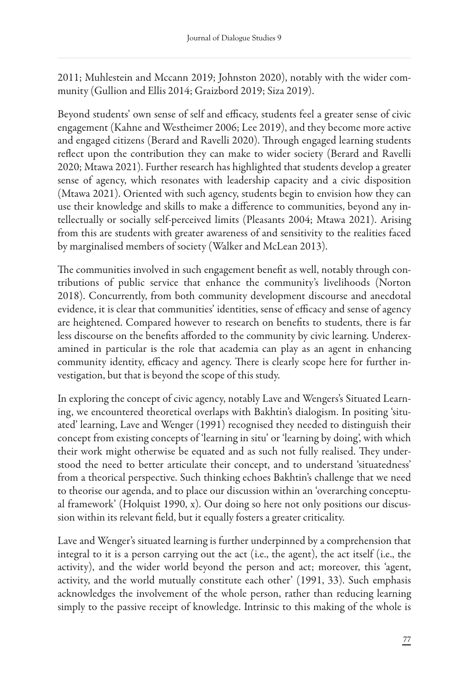2011; Muhlestein and Mccann 2019; Johnston 2020), notably with the wider community (Gullion and Ellis 2014; Graizbord 2019; Siza 2019).

Beyond students' own sense of self and efficacy, students feel a greater sense of civic engagement (Kahne and Westheimer 2006; Lee 2019), and they become more active and engaged citizens (Berard and Ravelli 2020). Through engaged learning students reflect upon the contribution they can make to wider society (Berard and Ravelli 2020; Mtawa 2021). Further research has highlighted that students develop a greater sense of agency, which resonates with leadership capacity and a civic disposition (Mtawa 2021). Oriented with such agency, students begin to envision how they can use their knowledge and skills to make a difference to communities, beyond any intellectually or socially self-perceived limits (Pleasants 2004; Mtawa 2021). Arising from this are students with greater awareness of and sensitivity to the realities faced by marginalised members of society (Walker and McLean 2013).

The communities involved in such engagement benefit as well, notably through contributions of public service that enhance the community's livelihoods (Norton 2018). Concurrently, from both community development discourse and anecdotal evidence, it is clear that communities' identities, sense of efficacy and sense of agency are heightened. Compared however to research on benefits to students, there is far less discourse on the benefits afforded to the community by civic learning. Underexamined in particular is the role that academia can play as an agent in enhancing community identity, efficacy and agency. There is clearly scope here for further investigation, but that is beyond the scope of this study.

In exploring the concept of civic agency, notably Lave and Wengers's Situated Learning, we encountered theoretical overlaps with Bakhtin's dialogism. In positing 'situated' learning, Lave and Wenger (1991) recognised they needed to distinguish their concept from existing concepts of 'learning in situ' or 'learning by doing', with which their work might otherwise be equated and as such not fully realised. They understood the need to better articulate their concept, and to understand 'situatedness' from a theorical perspective. Such thinking echoes Bakhtin's challenge that we need to theorise our agenda, and to place our discussion within an 'overarching conceptual framework' (Holquist 1990, x). Our doing so here not only positions our discussion within its relevant field, but it equally fosters a greater criticality.

Lave and Wenger's situated learning is further underpinned by a comprehension that integral to it is a person carrying out the act (i.e., the agent), the act itself (i.e., the activity), and the wider world beyond the person and act; moreover, this 'agent, activity, and the world mutually constitute each other' (1991, 33). Such emphasis acknowledges the involvement of the whole person, rather than reducing learning simply to the passive receipt of knowledge. Intrinsic to this making of the whole is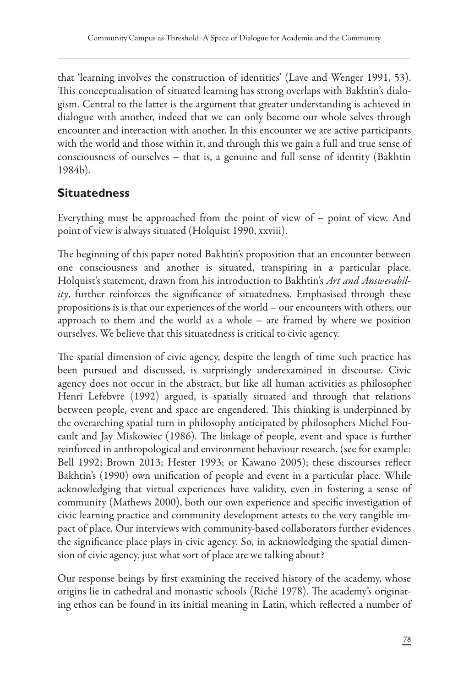that 'learning involves the construction of identities' (Lave and Wenger 1991, 53). This conceptualisation of situated learning has strong overlaps with Bakhtin's dialogism. Central to the latter is the argument that greater understanding is achieved in dialogue with another, indeed that we can only become our whole selves through encounter and interaction with another. In this encounter we are active participants with the world and those within it, and through this we gain a full and true sense of consciousness of ourselves – that is, a genuine and full sense of identity (Bakhtin 1984b).

#### **Situatedness**

Everything must be approached from the point of view of – point of view. And point of view is always situated (Holquist 1990, xxviii).

The beginning of this paper noted Bakhtin's proposition that an encounter between one consciousness and another is situated, transpiring in a particular place. Holquist's statement, drawn from his introduction to Bakhtin's *Art and Answerabil* $ity$ , further reinforces the significance of situatedness. Emphasised through these propositions is is that our experiences of the world – our encounters with others, our approach to them and the world as a whole – are framed by where we position ourselves. We believe that this situatedness is critical to civic agency.

The spatial dimension of civic agency, despite the length of time such practice has been pursued and discussed, is surprisingly underexamined in discourse. Civic agency does not occur in the abstract, but like all human activities as philosopher Henri Lefebvre (1992) argued, is spatially situated and through that relations between people, event and space are engendered. This thinking is underpinned by the overarching spatial turn in philosophy anticipated by philosophers Michel Foucault and Jay Miskowiec (1986). The linkage of people, event and space is further reinforced in anthropological and environment behaviour research, (see for example: Bell 1992; Brown 2013; Hester 1993; or Kawano 2005); these discourses reflect Bakhtin's (1990) own unification of people and event in a particular place. While acknowledging that virtual experiences have validity, even in fostering a sense of community (Mathews 2000), both our own experience and specific investigation of civic learning practice and community development attests to the very tangible impact of place. Our interviews with community-based collaborators further evidences the significance place plays in civic agency. So, in acknowledging the spatial dimension of civic agency, just what sort of place are we talking about?

Our response beings by first examining the received history of the academy, whose origins lie in cathedral and monastic schools (Riché 1978). The academy's originating ethos can be found in its initial meaning in Latin, which reflected a number of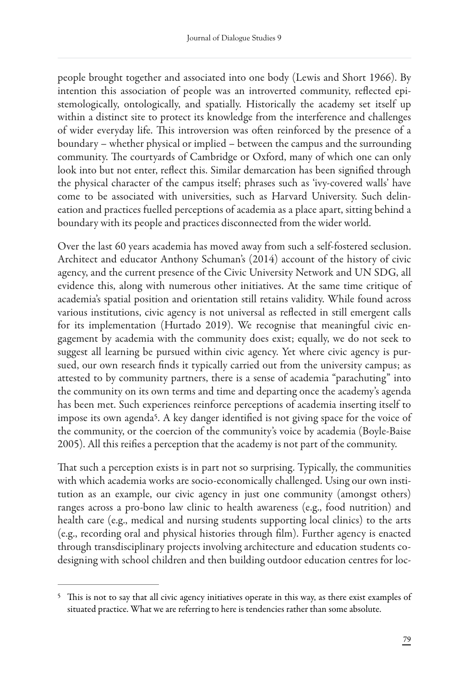people brought together and associated into one body (Lewis and Short 1966). By intention this association of people was an introverted community, reflected epistemologically, ontologically, and spatially. Historically the academy set itself up within a distinct site to protect its knowledge from the interference and challenges of wider everyday life. This introversion was often reinforced by the presence of a boundary – whether physical or implied – between the campus and the surrounding community. The courtyards of Cambridge or Oxford, many of which one can only look into but not enter, reflect this. Similar demarcation has been signified through the physical character of the campus itself; phrases such as 'ivy-covered walls' have come to be associated with universities, such as Harvard University. Such delineation and practices fuelled perceptions of academia as a place apart, sitting behind a boundary with its people and practices disconnected from the wider world.

Over the last 60 years academia has moved away from such a self-fostered seclusion. Architect and educator Anthony Schuman's (2014) account of the history of civic agency, and the current presence of the Civic University Network and UN SDG, all evidence this, along with numerous other initiatives. At the same time critique of academia's spatial position and orientation still retains validity. While found across various institutions, civic agency is not universal as reflected in still emergent calls for its implementation (Hurtado 2019). We recognise that meaningful civic engagement by academia with the community does exist; equally, we do not seek to suggest all learning be pursued within civic agency. Yet where civic agency is pursued, our own research finds it typically carried out from the university campus; as attested to by community partners, there is a sense of academia "parachuting" into the community on its own terms and time and departing once the academy's agenda has been met. Such experiences reinforce perceptions of academia inserting itself to impose its own agenda<sup>[5](#page-0-2)</sup>. A key danger identified is not giving space for the voice of the community, or the coercion of the community's voice by academia (Boyle-Baise 2005). All this reifies a perception that the academy is not part of the community.

That such a perception exists is in part not so surprising. Typically, the communities with which academia works are socio-economically challenged. Using our own institution as an example, our civic agency in just one community (amongst others) ranges across a pro-bono law clinic to health awareness (e.g., food nutrition) and health care (e.g., medical and nursing students supporting local clinics) to the arts (e.g., recording oral and physical histories through #lm). Further agency is enacted through transdisciplinary projects involving architecture and education students codesigning with school children and then building outdoor education centres for loc-

<sup>&</sup>lt;sup>[5](#page-0-3)</sup> This is not to say that all civic agency initiatives operate in this way, as there exist examples of situated practice. What we are referring to here is tendencies rather than some absolute.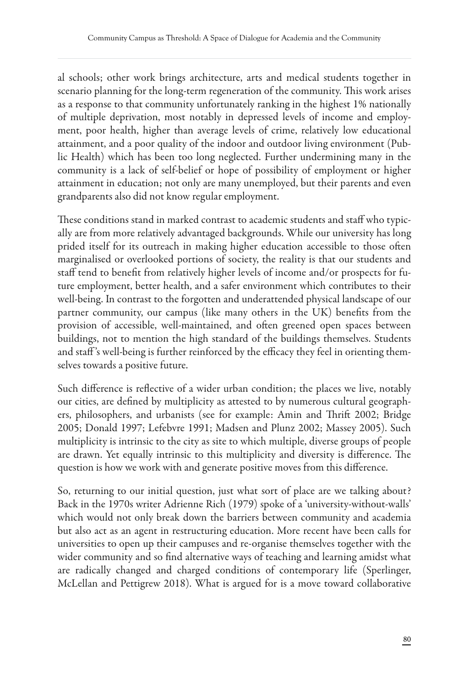al schools; other work brings architecture, arts and medical students together in scenario planning for the long-term regeneration of the community. This work arises as a response to that community unfortunately ranking in the highest 1% nationally of multiple deprivation, most notably in depressed levels of income and employment, poor health, higher than average levels of crime, relatively low educational attainment, and a poor quality of the indoor and outdoor living environment (Public Health) which has been too long neglected. Further undermining many in the community is a lack of self-belief or hope of possibility of employment or higher attainment in education; not only are many unemployed, but their parents and even grandparents also did not know regular employment.

These conditions stand in marked contrast to academic students and staff who typically are from more relatively advantaged backgrounds. While our university has long prided itself for its outreach in making higher education accessible to those often marginalised or overlooked portions of society, the reality is that our students and staff tend to benefit from relatively higher levels of income and/or prospects for future employment, better health, and a safer environment which contributes to their well-being. In contrast to the forgotten and underattended physical landscape of our partner community, our campus (like many others in the UK) benefits from the provision of accessible, well-maintained, and often greened open spaces between buildings, not to mention the high standard of the buildings themselves. Students and staff's well-being is further reinforced by the efficacy they feel in orienting themselves towards a positive future.

Such difference is reflective of a wider urban condition; the places we live, notably our cities, are defined by multiplicity as attested to by numerous cultural geographers, philosophers, and urbanists (see for example: Amin and Thrift 2002; Bridge 2005; Donald 1997; Lefebvre 1991; Madsen and Plunz 2002; Massey 2005). Such multiplicity is intrinsic to the city as site to which multiple, diverse groups of people are drawn. Yet equally intrinsic to this multiplicity and diversity is difference. The question is how we work with and generate positive moves from this difference.

So, returning to our initial question, just what sort of place are we talking about? Back in the 1970s writer Adrienne Rich (1979) spoke of a 'university-without-walls' which would not only break down the barriers between community and academia but also act as an agent in restructuring education. More recent have been calls for universities to open up their campuses and re-organise themselves together with the wider community and so find alternative ways of teaching and learning amidst what are radically changed and charged conditions of contemporary life (Sperlinger, McLellan and Pettigrew 2018). What is argued for is a move toward collaborative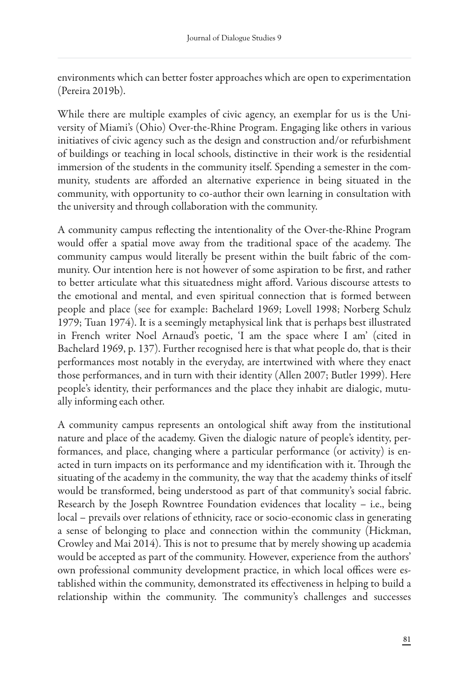environments which can better foster approaches which are open to experimentation (Pereira 2019b).

While there are multiple examples of civic agency, an exemplar for us is the University of Miami's (Ohio) Over-the-Rhine Program. Engaging like others in various initiatives of civic agency such as the design and construction and/or refurbishment of buildings or teaching in local schools, distinctive in their work is the residential immersion of the students in the community itself. Spending a semester in the community, students are afforded an alternative experience in being situated in the community, with opportunity to co-author their own learning in consultation with the university and through collaboration with the community.

A community campus reflecting the intentionality of the Over-the-Rhine Program would offer a spatial move away from the traditional space of the academy. The community campus would literally be present within the built fabric of the community. Our intention here is not however of some aspiration to be first, and rather to better articulate what this situatedness might afford. Various discourse attests to the emotional and mental, and even spiritual connection that is formed between people and place (see for example: Bachelard 1969; Lovell 1998; Norberg Schulz 1979; Tuan 1974). It is a seemingly metaphysical link that is perhaps best illustrated in French writer Noel Arnaud's poetic, 'I am the space where I am' (cited in Bachelard 1969, p. 137). Further recognised here is that what people do, that is their performances most notably in the everyday, are intertwined with where they enact those performances, and in turn with their identity (Allen 2007; Butler 1999). Here people's identity, their performances and the place they inhabit are dialogic, mutually informing each other.

A community campus represents an ontological shift away from the institutional nature and place of the academy. Given the dialogic nature of people's identity, performances, and place, changing where a particular performance (or activity) is enacted in turn impacts on its performance and my identification with it. Through the situating of the academy in the community, the way that the academy thinks of itself would be transformed, being understood as part of that community's social fabric. Research by the Joseph Rowntree Foundation evidences that locality – i.e., being local – prevails over relations of ethnicity, race or socio-economic class in generating a sense of belonging to place and connection within the community (Hickman, Crowley and Mai 2014). This is not to presume that by merely showing up academia would be accepted as part of the community. However, experience from the authors' own professional community development practice, in which local offices were established within the community, demonstrated its effectiveness in helping to build a relationship within the community. The community's challenges and successes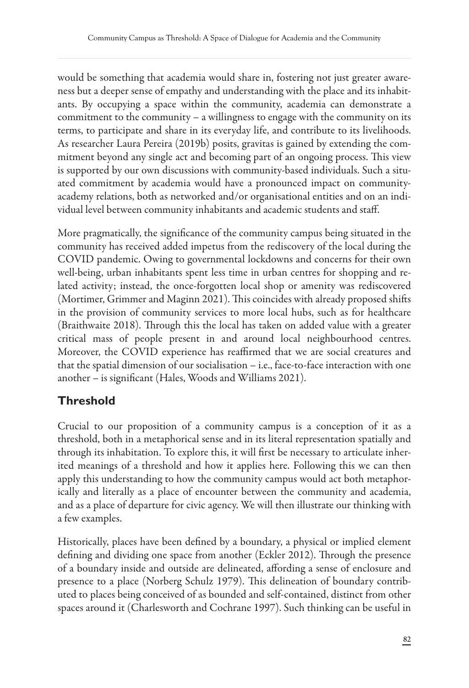would be something that academia would share in, fostering not just greater awareness but a deeper sense of empathy and understanding with the place and its inhabitants. By occupying a space within the community, academia can demonstrate a commitment to the community – a willingness to engage with the community on its terms, to participate and share in its everyday life, and contribute to its livelihoods. As researcher Laura Pereira (2019b) posits, gravitas is gained by extending the commitment beyond any single act and becoming part of an ongoing process. This view is supported by our own discussions with community-based individuals. Such a situated commitment by academia would have a pronounced impact on communityacademy relations, both as networked and/or organisational entities and on an individual level between community inhabitants and academic students and staff.

More pragmatically, the significance of the community campus being situated in the community has received added impetus from the rediscovery of the local during the COVID pandemic. Owing to governmental lockdowns and concerns for their own well-being, urban inhabitants spent less time in urban centres for shopping and related activity; instead, the once-forgotten local shop or amenity was rediscovered (Mortimer, Grimmer and Maginn 2021). This coincides with already proposed shifts in the provision of community services to more local hubs, such as for healthcare (Braithwaite 2018). Through this the local has taken on added value with a greater critical mass of people present in and around local neighbourhood centres. Moreover, the COVID experience has reaffirmed that we are social creatures and that the spatial dimension of our socialisation – i.e., face-to-face interaction with one another – is significant (Hales, Woods and Williams 2021).

# **Threshold**

Crucial to our proposition of a community campus is a conception of it as a threshold, both in a metaphorical sense and in its literal representation spatially and through its inhabitation. To explore this, it will first be necessary to articulate inherited meanings of a threshold and how it applies here. Following this we can then apply this understanding to how the community campus would act both metaphorically and literally as a place of encounter between the community and academia, and as a place of departure for civic agency. We will then illustrate our thinking with a few examples.

Historically, places have been defined by a boundary, a physical or implied element defining and dividing one space from another (Eckler 2012). Through the presence of a boundary inside and outside are delineated, affording a sense of enclosure and presence to a place (Norberg Schulz 1979). This delineation of boundary contributed to places being conceived of as bounded and self-contained, distinct from other spaces around it (Charlesworth and Cochrane 1997). Such thinking can be useful in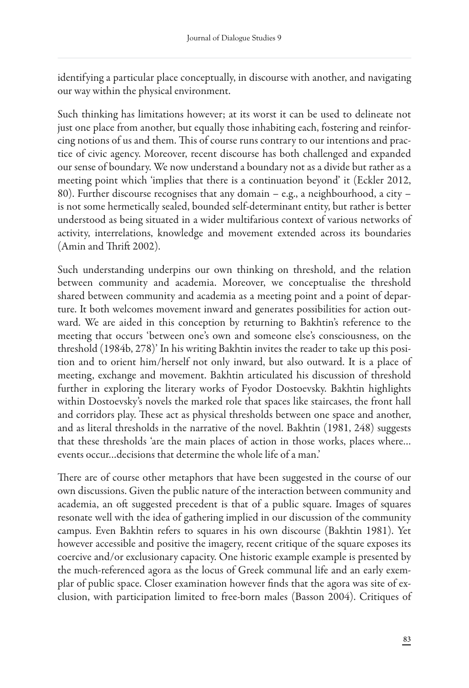identifying a particular place conceptually, in discourse with another, and navigating our way within the physical environment.

Such thinking has limitations however; at its worst it can be used to delineate not just one place from another, but equally those inhabiting each, fostering and reinforcing notions of us and them. This of course runs contrary to our intentions and practice of civic agency. Moreover, recent discourse has both challenged and expanded our sense of boundary. We now understand a boundary not as a divide but rather as a meeting point which 'implies that there is a continuation beyond' it (Eckler 2012, 80). Further discourse recognises that any domain – e.g., a neighbourhood, a city – is not some hermetically sealed, bounded self-determinant entity, but rather is better understood as being situated in a wider multifarious context of various networks of activity, interrelations, knowledge and movement extended across its boundaries  $(Amin and Thrift 2002).$ 

Such understanding underpins our own thinking on threshold, and the relation between community and academia. Moreover, we conceptualise the threshold shared between community and academia as a meeting point and a point of departure. It both welcomes movement inward and generates possibilities for action outward. We are aided in this conception by returning to Bakhtin's reference to the meeting that occurs 'between one's own and someone else's consciousness, on the threshold (1984b, 278)' In his writing Bakhtin invites the reader to take up this position and to orient him/herself not only inward, but also outward. It is a place of meeting, exchange and movement. Bakhtin articulated his discussion of threshold further in exploring the literary works of Fyodor Dostoevsky. Bakhtin highlights within Dostoevsky's novels the marked role that spaces like staircases, the front hall and corridors play. These act as physical thresholds between one space and another, and as literal thresholds in the narrative of the novel. Bakhtin (1981, 248) suggests that these thresholds 'are the main places of action in those works, places where… events occur…decisions that determine the whole life of a man.'

There are of course other metaphors that have been suggested in the course of our own discussions. Given the public nature of the interaction between community and academia, an oft suggested precedent is that of a public square. Images of squares resonate well with the idea of gathering implied in our discussion of the community campus. Even Bakhtin refers to squares in his own discourse (Bakhtin 1981). Yet however accessible and positive the imagery, recent critique of the square exposes its coercive and/or exclusionary capacity. One historic example example is presented by the much-referenced agora as the locus of Greek communal life and an early exemplar of public space. Closer examination however finds that the agora was site of exclusion, with participation limited to free-born males (Basson 2004). Critiques of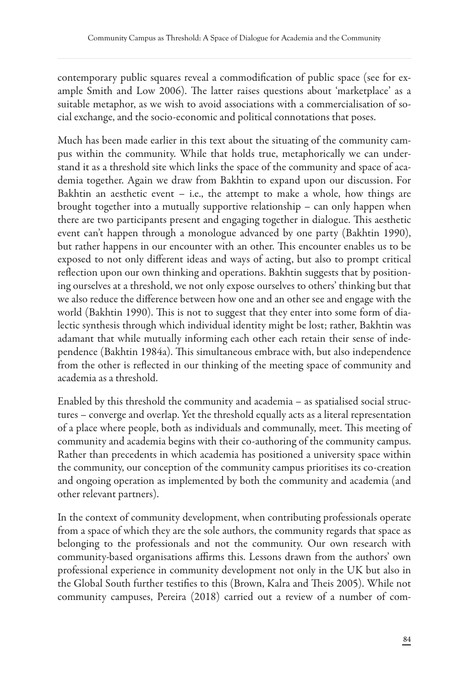contemporary public squares reveal a commodification of public space (see for example Smith and Low 2006). The latter raises questions about 'marketplace' as a suitable metaphor, as we wish to avoid associations with a commercialisation of social exchange, and the socio-economic and political connotations that poses.

Much has been made earlier in this text about the situating of the community campus within the community. While that holds true, metaphorically we can understand it as a threshold site which links the space of the community and space of academia together. Again we draw from Bakhtin to expand upon our discussion. For Bakhtin an aesthetic event – i.e., the attempt to make a whole, how things are brought together into a mutually supportive relationship – can only happen when there are two participants present and engaging together in dialogue. This aesthetic event can't happen through a monologue advanced by one party (Bakhtin 1990), but rather happens in our encounter with an other. This encounter enables us to be exposed to not only different ideas and ways of acting, but also to prompt critical reflection upon our own thinking and operations. Bakhtin suggests that by positioning ourselves at a threshold, we not only expose ourselves to others' thinking but that we also reduce the difference between how one and an other see and engage with the world (Bakhtin 1990). This is not to suggest that they enter into some form of dialectic synthesis through which individual identity might be lost; rather, Bakhtin was adamant that while mutually informing each other each retain their sense of independence (Bakhtin 1984a). This simultaneous embrace with, but also independence from the other is reflected in our thinking of the meeting space of community and academia as a threshold.

Enabled by this threshold the community and academia – as spatialised social structures – converge and overlap. Yet the threshold equally acts as a literal representation of a place where people, both as individuals and communally, meet. This meeting of community and academia begins with their co-authoring of the community campus. Rather than precedents in which academia has positioned a university space within the community, our conception of the community campus prioritises its co-creation and ongoing operation as implemented by both the community and academia (and other relevant partners).

In the context of community development, when contributing professionals operate from a space of which they are the sole authors, the community regards that space as belonging to the professionals and not the community. Our own research with community-based organisations affirms this. Lessons drawn from the authors' own professional experience in community development not only in the UK but also in the Global South further testifies to this (Brown, Kalra and Theis 2005). While not community campuses, Pereira (2018) carried out a review of a number of com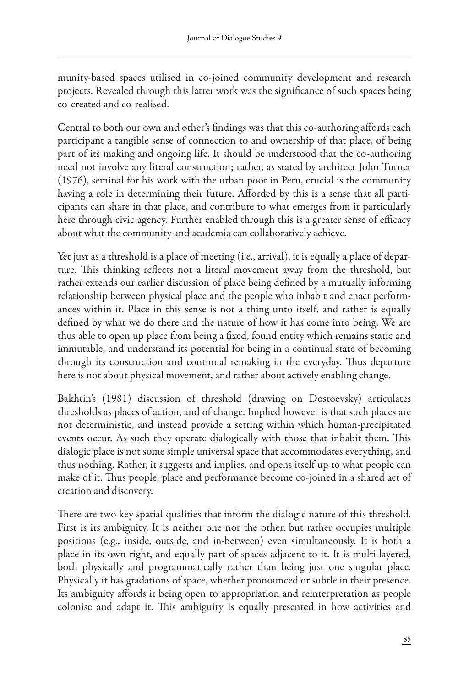munity-based spaces utilised in co-joined community development and research projects. Revealed through this latter work was the significance of such spaces being co-created and co-realised.

Central to both our own and other's findings was that this co-authoring affords each participant a tangible sense of connection to and ownership of that place, of being part of its making and ongoing life. It should be understood that the co-authoring need not involve any literal construction; rather, as stated by architect John Turner (1976), seminal for his work with the urban poor in Peru, crucial is the community having a role in determining their future. Afforded by this is a sense that all participants can share in that place, and contribute to what emerges from it particularly here through civic agency. Further enabled through this is a greater sense of efficacy about what the community and academia can collaboratively achieve.

Yet just as a threshold is a place of meeting (i.e., arrival), it is equally a place of departure. This thinking reflects not a literal movement away from the threshold, but rather extends our earlier discussion of place being defined by a mutually informing relationship between physical place and the people who inhabit and enact performances within it. Place in this sense is not a thing unto itself, and rather is equally defined by what we do there and the nature of how it has come into being. We are thus able to open up place from being a fixed, found entity which remains static and immutable, and understand its potential for being in a continual state of becoming through its construction and continual remaking in the everyday. Thus departure here is not about physical movement, and rather about actively enabling change.

Bakhtin's (1981) discussion of threshold (drawing on Dostoevsky) articulates thresholds as places of action, and of change. Implied however is that such places are not deterministic, and instead provide a setting within which human-precipitated events occur. As such they operate dialogically with those that inhabit them. This dialogic place is not some simple universal space that accommodates everything, and thus nothing. Rather, it suggests and implies, and opens itself up to what people can make of it. Thus people, place and performance become co-joined in a shared act of creation and discovery.

There are two key spatial qualities that inform the dialogic nature of this threshold. First is its ambiguity. It is neither one nor the other, but rather occupies multiple positions (e.g., inside, outside, and in-between) even simultaneously. It is both a place in its own right, and equally part of spaces adjacent to it. It is multi-layered, both physically and programmatically rather than being just one singular place. Physically it has gradations of space, whether pronounced or subtle in their presence. Its ambiguity affords it being open to appropriation and reinterpretation as people colonise and adapt it. This ambiguity is equally presented in how activities and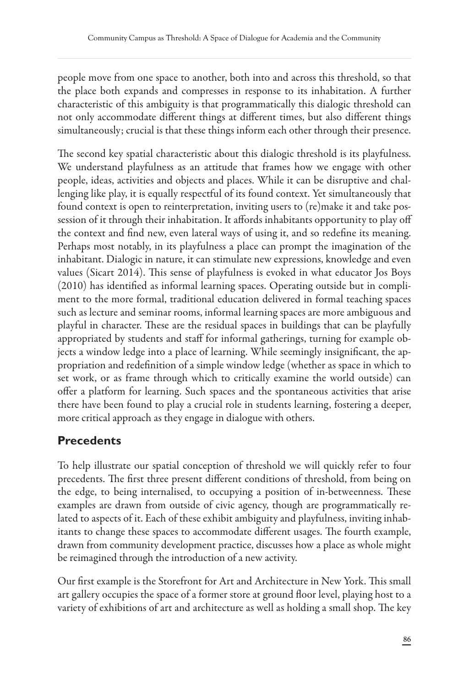people move from one space to another, both into and across this threshold, so that the place both expands and compresses in response to its inhabitation. A further characteristic of this ambiguity is that programmatically this dialogic threshold can not only accommodate different things at different times, but also different things simultaneously; crucial is that these things inform each other through their presence.

The second key spatial characteristic about this dialogic threshold is its playfulness. We understand playfulness as an attitude that frames how we engage with other people, ideas, activities and objects and places. While it can be disruptive and challenging like play, it is equally respectful of its found context. Yet simultaneously that found context is open to reinterpretation, inviting users to (re)make it and take possession of it through their inhabitation. It affords inhabitants opportunity to play off the context and find new, even lateral ways of using it, and so redefine its meaning. Perhaps most notably, in its playfulness a place can prompt the imagination of the inhabitant. Dialogic in nature, it can stimulate new expressions, knowledge and even values (Sicart 2014). This sense of playfulness is evoked in what educator Jos Boys  $(2010)$  has identified as informal learning spaces. Operating outside but in compliment to the more formal, traditional education delivered in formal teaching spaces such as lecture and seminar rooms, informal learning spaces are more ambiguous and playful in character. These are the residual spaces in buildings that can be playfully appropriated by students and staff for informal gatherings, turning for example objects a window ledge into a place of learning. While seemingly insignificant, the appropriation and redefinition of a simple window ledge (whether as space in which to set work, or as frame through which to critically examine the world outside) can offer a platform for learning. Such spaces and the spontaneous activities that arise there have been found to play a crucial role in students learning, fostering a deeper, more critical approach as they engage in dialogue with others.

### **Precedents**

To help illustrate our spatial conception of threshold we will quickly refer to four precedents. The first three present different conditions of threshold, from being on the edge, to being internalised, to occupying a position of in-betweenness. These examples are drawn from outside of civic agency, though are programmatically related to aspects of it. Each of these exhibit ambiguity and playfulness, inviting inhabitants to change these spaces to accommodate different usages. The fourth example, drawn from community development practice, discusses how a place as whole might be reimagined through the introduction of a new activity.

Our first example is the Storefront for Art and Architecture in New York. This small art gallery occupies the space of a former store at ground floor level, playing host to a variety of exhibitions of art and architecture as well as holding a small shop. The key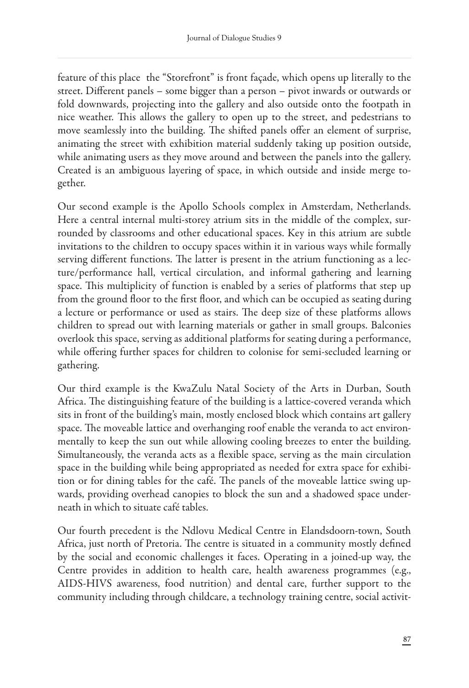feature of this place the "Storefront" is front façade, which opens up literally to the street. Different panels – some bigger than a person – pivot inwards or outwards or fold downwards, projecting into the gallery and also outside onto the footpath in nice weather. This allows the gallery to open up to the street, and pedestrians to move seamlessly into the building. The shifted panels offer an element of surprise, animating the street with exhibition material suddenly taking up position outside, while animating users as they move around and between the panels into the gallery. Created is an ambiguous layering of space, in which outside and inside merge together.

Our second example is the Apollo Schools complex in Amsterdam, Netherlands. Here a central internal multi-storey atrium sits in the middle of the complex, surrounded by classrooms and other educational spaces. Key in this atrium are subtle invitations to the children to occupy spaces within it in various ways while formally serving different functions. The latter is present in the atrium functioning as a lecture/performance hall, vertical circulation, and informal gathering and learning space. This multiplicity of function is enabled by a series of platforms that step up from the ground floor to the first floor, and which can be occupied as seating during a lecture or performance or used as stairs. The deep size of these platforms allows children to spread out with learning materials or gather in small groups. Balconies overlook this space, serving as additional platforms for seating during a performance, while offering further spaces for children to colonise for semi-secluded learning or gathering.

Our third example is the KwaZulu Natal Society of the Arts in Durban, South Africa. The distinguishing feature of the building is a lattice-covered veranda which sits in front of the building's main, mostly enclosed block which contains art gallery space. The moveable lattice and overhanging roof enable the veranda to act environmentally to keep the sun out while allowing cooling breezes to enter the building. Simultaneously, the veranda acts as a flexible space, serving as the main circulation space in the building while being appropriated as needed for extra space for exhibition or for dining tables for the café. The panels of the moveable lattice swing upwards, providing overhead canopies to block the sun and a shadowed space underneath in which to situate café tables.

Our fourth precedent is the Ndlovu Medical Centre in Elandsdoorn-town, South Africa, just north of Pretoria. The centre is situated in a community mostly defined by the social and economic challenges it faces. Operating in a joined-up way, the Centre provides in addition to health care, health awareness programmes (e.g., AIDS-HIVS awareness, food nutrition) and dental care, further support to the community including through childcare, a technology training centre, social activit-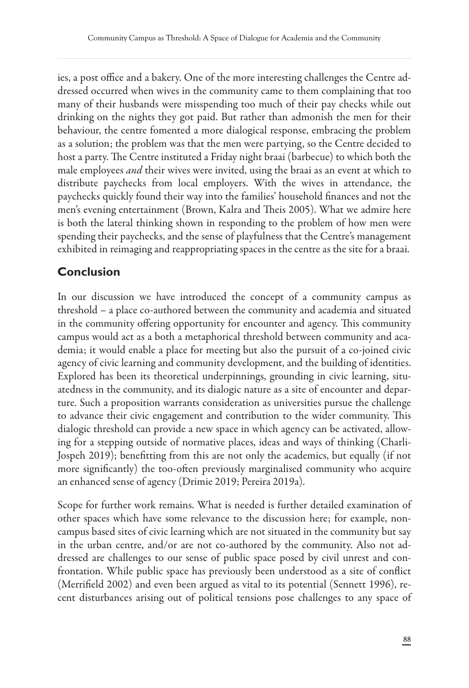ies, a post office and a bakery. One of the more interesting challenges the Centre addressed occurred when wives in the community came to them complaining that too many of their husbands were misspending too much of their pay checks while out drinking on the nights they got paid. But rather than admonish the men for their behaviour, the centre fomented a more dialogical response, embracing the problem as a solution; the problem was that the men were partying, so the Centre decided to host a party. The Centre instituted a Friday night braai (barbecue) to which both the male employees *and* their wives were invited, using the braai as an event at which to distribute paychecks from local employers. With the wives in attendance, the paychecks quickly found their way into the families' household finances and not the men's evening entertainment (Brown, Kalra and Theis 2005). What we admire here is both the lateral thinking shown in responding to the problem of how men were spending their paychecks, and the sense of playfulness that the Centre's management exhibited in reimaging and reappropriating spaces in the centre as the site for a braai.

## **Conclusion**

In our discussion we have introduced the concept of a community campus as threshold – a place co-authored between the community and academia and situated in the community offering opportunity for encounter and agency. This community campus would act as a both a metaphorical threshold between community and academia; it would enable a place for meeting but also the pursuit of a co-joined civic agency of civic learning and community development, and the building of identities. Explored has been its theoretical underpinnings, grounding in civic learning, situatedness in the community, and its dialogic nature as a site of encounter and departure. Such a proposition warrants consideration as universities pursue the challenge to advance their civic engagement and contribution to the wider community. This dialogic threshold can provide a new space in which agency can be activated, allowing for a stepping outside of normative places, ideas and ways of thinking (Charli-Jospeh 2019); benefitting from this are not only the academics, but equally (if not more significantly) the too-often previously marginalised community who acquire an enhanced sense of agency (Drimie 2019; Pereira 2019a).

Scope for further work remains. What is needed is further detailed examination of other spaces which have some relevance to the discussion here; for example, noncampus based sites of civic learning which are not situated in the community but say in the urban centre, and/or are not co-authored by the community. Also not addressed are challenges to our sense of public space posed by civil unrest and confrontation. While public space has previously been understood as a site of conflict (Merrifield 2002) and even been argued as vital to its potential (Sennett 1996), recent disturbances arising out of political tensions pose challenges to any space of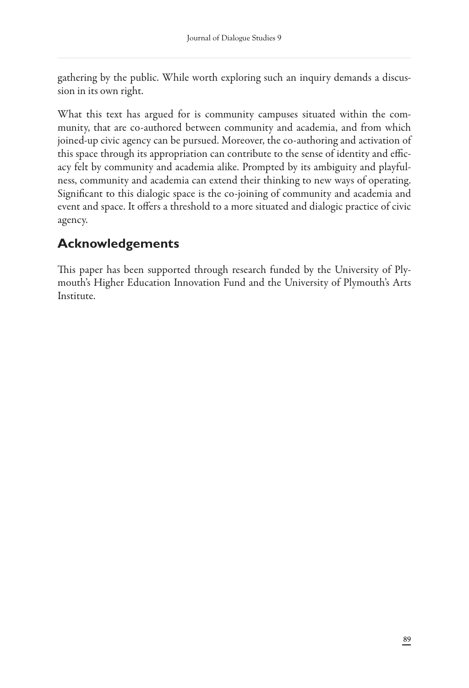gathering by the public. While worth exploring such an inquiry demands a discussion in its own right.

What this text has argued for is community campuses situated within the community, that are co-authored between community and academia, and from which joined-up civic agency can be pursued. Moreover, the co-authoring and activation of this space through its appropriation can contribute to the sense of identity and efficacy felt by community and academia alike. Prompted by its ambiguity and playfulness, community and academia can extend their thinking to new ways of operating. Significant to this dialogic space is the co-joining of community and academia and event and space. It offers a threshold to a more situated and dialogic practice of civic agency.

## **Acknowledgements**

This paper has been supported through research funded by the University of Plymouth's Higher Education Innovation Fund and the University of Plymouth's Arts Institute.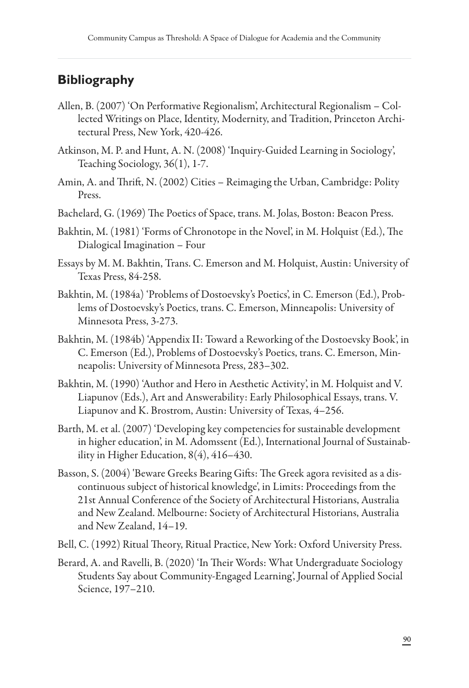## **Bibliography**

- Allen, B. (2007) 'On Performative Regionalism', Architectural Regionalism Collected Writings on Place, Identity, Modernity, and Tradition, Princeton Architectural Press, New York, 420-426.
- Atkinson, M. P. and Hunt, A. N. (2008) 'Inquiry-Guided Learning in Sociology', Teaching Sociology, 36(1), 1-7.
- Amin, A. and Thrift, N. (2002) Cities Reimaging the Urban, Cambridge: Polity Press.
- Bachelard, G. (1969) The Poetics of Space, trans. M. Jolas, Boston: Beacon Press.
- Bakhtin, M. (1981) 'Forms of Chronotope in the Novel', in M. Holquist (Ed.), The Dialogical Imagination – Four
- Essays by M. M. Bakhtin, Trans. C. Emerson and M. Holquist, Austin: University of Texas Press, 84-258.
- Bakhtin, M. (1984a) 'Problems of Dostoevsky's Poetics', in C. Emerson (Ed.), Problems of Dostoevsky's Poetics, trans. C. Emerson, Minneapolis: University of Minnesota Press, 3-273.
- Bakhtin, M. (1984b) 'Appendix II: Toward a Reworking of the Dostoevsky Book', in C. Emerson (Ed.), Problems of Dostoevsky's Poetics, trans. C. Emerson, Minneapolis: University of Minnesota Press, 283–302.
- Bakhtin, M. (1990) 'Author and Hero in Aesthetic Activity', in M. Holquist and V. Liapunov (Eds.), Art and Answerability: Early Philosophical Essays, trans. V. Liapunov and K. Brostrom, Austin: University of Texas, 4–256.
- Barth, M. et al. (2007) 'Developing key competencies for sustainable development in higher education', in M. Adomssent (Ed.), International Journal of Sustainability in Higher Education, 8(4), 416–430.
- Basson, S. (2004) 'Beware Greeks Bearing Gifts: The Greek agora revisited as a discontinuous subject of historical knowledge', in Limits: Proceedings from the 21st Annual Conference of the Society of Architectural Historians, Australia and New Zealand. Melbourne: Society of Architectural Historians, Australia and New Zealand, 14–19.
- Bell, C. (1992) Ritual Theory, Ritual Practice, New York: Oxford University Press.
- Berard, A. and Ravelli, B. (2020) 'In Their Words: What Undergraduate Sociology Students Say about Community-Engaged Learning', Journal of Applied Social Science, 197–210.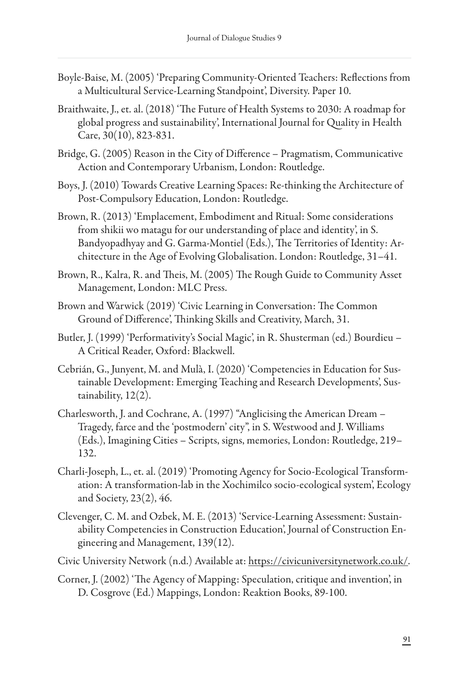- Boyle-Baise, M. (2005) 'Preparing Community-Oriented Teachers: Reflections from a Multicultural Service-Learning Standpoint', Diversity. Paper 10.
- Braithwaite, J., et. al. (2018) 'The Future of Health Systems to 2030: A roadmap for global progress and sustainability', International Journal for Quality in Health Care, 30(10), 823-831.
- Bridge, G. (2005) Reason in the City of Difference Pragmatism, Communicative Action and Contemporary Urbanism, London: Routledge.
- Boys, J. (2010) Towards Creative Learning Spaces: Re-thinking the Architecture of Post-Compulsory Education, London: Routledge.
- Brown, R. (2013) 'Emplacement, Embodiment and Ritual: Some considerations from shikii wo matagu for our understanding of place and identity', in S. Bandyopadhyay and G. Garma-Montiel (Eds.), The Territories of Identity: Architecture in the Age of Evolving Globalisation. London: Routledge, 31–41.
- Brown, R., Kalra, R. and Theis, M. (2005) The Rough Guide to Community Asset Management, London: MLC Press.
- Brown and Warwick (2019) 'Civic Learning in Conversation: The Common Ground of Difference', Thinking Skills and Creativity, March, 31.
- Butler, J. (1999) 'Performativity's Social Magic', in R. Shusterman (ed.) Bourdieu A Critical Reader, Oxford: Blackwell.
- Cebrián, G., Junyent, M. and Mulà, I. (2020) 'Competencies in Education for Sustainable Development: Emerging Teaching and Research Developments', Sustainability, 12(2).
- Charlesworth, J. and Cochrane, A. (1997) "Anglicising the American Dream Tragedy, farce and the 'postmodern' city", in S. Westwood and J. Williams (Eds.), Imagining Cities – Scripts, signs, memories, London: Routledge, 219– 132.
- Charli-Joseph, L., et. al. (2019) 'Promoting Agency for Socio-Ecological Transformation: A transformation-lab in the Xochimilco socio-ecological system', Ecology and Society, 23(2), 46.
- Clevenger, C. M. and Ozbek, M. E. (2013) 'Service-Learning Assessment: Sustainability Competencies in Construction Education', Journal of Construction Engineering and Management, 139(12).
- Civic University Network (n.d.) Available at: <https://civicuniversitynetwork.co.uk/>.
- Corner, J. (2002) 'The Agency of Mapping: Speculation, critique and invention', in D. Cosgrove (Ed.) Mappings, London: Reaktion Books, 89-100.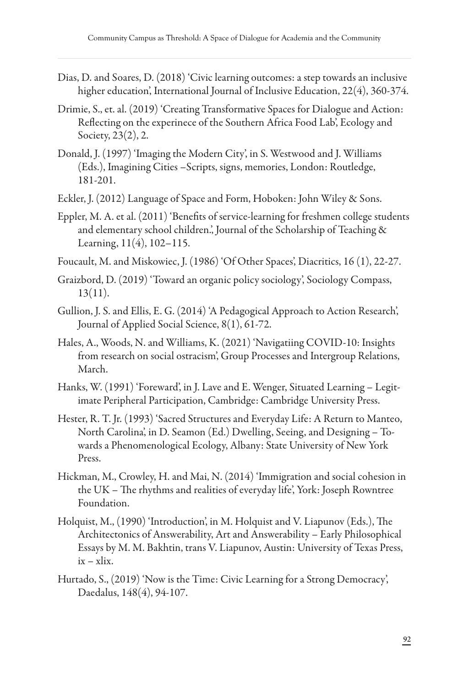- Dias, D. and Soares, D. (2018) 'Civic learning outcomes: a step towards an inclusive higher education', International Journal of Inclusive Education, 22(4), 360-374.
- Drimie, S., et. al. (2019) 'Creating Transformative Spaces for Dialogue and Action: Reflecting on the experinece of the Southern Africa Food Lab', Ecology and Society, 23(2), 2.
- Donald, J. (1997) 'Imaging the Modern City', in S. Westwood and J. Williams (Eds.), Imagining Cities –Scripts, signs, memories, London: Routledge, 181-201.
- Eckler, J. (2012) Language of Space and Form, Hoboken: John Wiley & Sons.
- Eppler, M. A. et al. (2011) 'Benefits of service-learning for freshmen college students and elementary school children.', Journal of the Scholarship of Teaching & Learning, 11(4), 102–115.
- Foucault, M. and Miskowiec, J. (1986) 'Of Other Spaces', Diacritics, 16 (1), 22-27.
- Graizbord, D. (2019) 'Toward an organic policy sociology', Sociology Compass, 13(11).
- Gullion, J. S. and Ellis, E. G. (2014) 'A Pedagogical Approach to Action Research', Journal of Applied Social Science, 8(1), 61-72.
- Hales, A., Woods, N. and Williams, K. (2021) 'Navigatiing COVID-10: Insights from research on social ostracism', Group Processes and Intergroup Relations, March.
- Hanks, W. (1991) 'Foreward', in J. Lave and E. Wenger, Situated Learning Legitimate Peripheral Participation, Cambridge: Cambridge University Press.
- Hester, R. T. Jr. (1993) 'Sacred Structures and Everyday Life: A Return to Manteo, North Carolina', in D. Seamon (Ed.) Dwelling, Seeing, and Designing – Towards a Phenomenological Ecology, Albany: State University of New York Press.
- Hickman, M., Crowley, H. and Mai, N. (2014) 'Immigration and social cohesion in the UK – The rhythms and realities of everyday life', York: Joseph Rowntree Foundation.
- Holquist, M.,  $(1990)$  'Introduction', in M. Holquist and V. Liapunov (Eds.), The Architectonics of Answerability, Art and Answerability – Early Philosophical Essays by M. M. Bakhtin, trans V. Liapunov, Austin: University of Texas Press, ix – xlix.
- Hurtado, S., (2019) 'Now is the Time: Civic Learning for a Strong Democracy', Daedalus, 148(4), 94-107.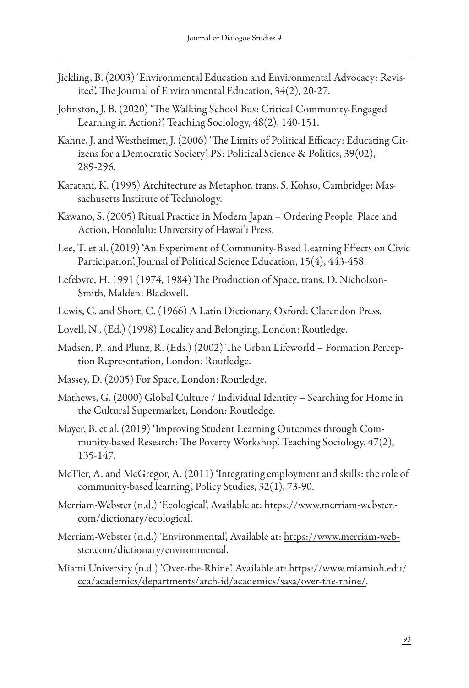- Jickling, B. (2003) 'Environmental Education and Environmental Advocacy: Revisited', The Journal of Environmental Education,  $34(2)$ , 20-27.
- Johnston, J. B. (2020) 'The Walking School Bus: Critical Community-Engaged Learning in Action?', Teaching Sociology, 48(2), 140-151.
- Kahne, J. and Westheimer, J. (2006) 'The Limits of Political Efficacy: Educating Citizens for a Democratic Society', PS: Political Science & Politics, 39(02), 289-296.
- Karatani, K. (1995) Architecture as Metaphor, trans. S. Kohso, Cambridge: Massachusetts Institute of Technology.
- Kawano, S. (2005) Ritual Practice in Modern Japan Ordering People, Place and Action, Honolulu: University of Hawai'i Press.
- Lee, T. et al. (2019) 'An Experiment of Community-Based Learning Effects on Civic Participation', Journal of Political Science Education, 15(4), 443-458.
- Lefebvre, H. 1991 (1974, 1984) The Production of Space, trans. D. Nicholson-Smith, Malden: Blackwell.
- Lewis, C. and Short, C. (1966) A Latin Dictionary, Oxford: Clarendon Press.
- Lovell, N., (Ed.) (1998) Locality and Belonging, London: Routledge.
- Madsen, P., and Plunz, R. (Eds.) (2002) The Urban Lifeworld Formation Perception Representation, London: Routledge.
- Massey, D. (2005) For Space, London: Routledge.
- Mathews, G. (2000) Global Culture / Individual Identity Searching for Home in the Cultural Supermarket, London: Routledge.
- Mayer, B. et al. (2019) 'Improving Student Learning Outcomes through Community-based Research: The Poverty Workshop', Teaching Sociology, 47(2), 135-147.
- McTier, A. and McGregor, A. (2011) 'Integrating employment and skills: the role of community-based learning', Policy Studies, 32(1), 73-90.
- Merriam-Webster (n.d.) 'Ecological', Available at: [https://www.merriam-webster.](https://www.merriam-webster.com/dictionary/ecological) [com/dictionary/ecological.](https://www.merriam-webster.com/dictionary/ecological)
- Merriam-Webster (n.d.) 'Environmental', Available at: [https://www.merriam-web](https://www.merriam-webster.com/dictionary/environmental)[ster.com/dictionary/environmental](https://www.merriam-webster.com/dictionary/environmental).
- Miami University (n.d.) 'Over-the-Rhine', Available at: [https://www.miamioh.edu/](https://www.miamioh.edu/cca/academics/departments/arch-id/academics/sasa/over-the-rhine/) [cca/academics/departments/arch-id/academics/sasa/over-the-rhine/.](https://www.miamioh.edu/cca/academics/departments/arch-id/academics/sasa/over-the-rhine/)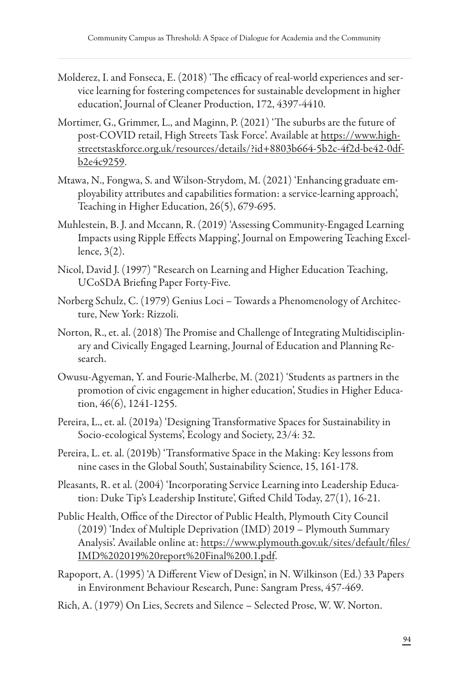- Molderez, I. and Fonseca, E. (2018) 'The efficacy of real-world experiences and service learning for fostering competences for sustainable development in higher education', Journal of Cleaner Production, 172, 4397-4410.
- Mortimer, G., Grimmer, L., and Maginn, P. (2021) 'The suburbs are the future of post-COVID retail, High Streets Task Force'. Available at [https://www.high](https://www.highstreetstaskforce.org.uk/resources/details/?id+8803b664-5b2c-4f2d-be42-0dfb2e4c9259)[streetstaskforce.org.uk/resources/details/?id+8803b664-5b2c-4f2d-be42-0df](https://www.highstreetstaskforce.org.uk/resources/details/?id+8803b664-5b2c-4f2d-be42-0dfb2e4c9259)[b2e4c9259.](https://www.highstreetstaskforce.org.uk/resources/details/?id+8803b664-5b2c-4f2d-be42-0dfb2e4c9259)
- Mtawa, N., Fongwa, S. and Wilson-Strydom, M. (2021) 'Enhancing graduate employability attributes and capabilities formation: a service-learning approach', Teaching in Higher Education, 26(5), 679-695.
- Muhlestein, B. J. and Mccann, R. (2019) 'Assessing Community-Engaged Learning Impacts using Ripple Effects Mapping', Journal on Empowering Teaching Excellence, 3(2).
- Nicol, David J. (1997) "Research on Learning and Higher Education Teaching, UCoSDA Briefing Paper Forty-Five.
- Norberg Schulz, C. (1979) Genius Loci Towards a Phenomenology of Architecture, New York: Rizzoli.
- Norton, R., et. al. (2018) The Promise and Challenge of Integrating Multidisciplinary and Civically Engaged Learning, Journal of Education and Planning Research.
- Owusu-Agyeman, Y. and Fourie-Malherbe, M. (2021) 'Students as partners in the promotion of civic engagement in higher education', Studies in Higher Education, 46(6), 1241-1255.
- Pereira, L., et. al. (2019a) 'Designing Transformative Spaces for Sustainability in Socio-ecological Systems', Ecology and Society, 23/4: 32.
- Pereira, L. et. al. (2019b) 'Transformative Space in the Making: Key lessons from nine cases in the Global South', Sustainability Science, 15, 161-178.
- Pleasants, R. et al. (2004) 'Incorporating Service Learning into Leadership Education: Duke Tip's Leadership Institute', Gifted Child Today, 27(1), 16-21.
- Public Health, Office of the Director of Public Health, Plymouth City Council (2019) 'Index of Multiple Deprivation (IMD) 2019 – Plymouth Summary Analysis'. Available online at: [https://www.plymouth.gov.uk/sites/default/](https://www.plymouth.gov.uk/sites/default/files/IMD%202019%20report%20Final%200.1.pdf)files/ [IMD%202019%20report%20Final%200.1.pdf.](https://www.plymouth.gov.uk/sites/default/files/IMD%202019%20report%20Final%200.1.pdf)
- Rapoport, A. (1995) 'A Different View of Design', in N. Wilkinson (Ed.) 33 Papers in Environment Behaviour Research, Pune: Sangram Press, 457-469.
- Rich, A. (1979) On Lies, Secrets and Silence Selected Prose, W. W. Norton.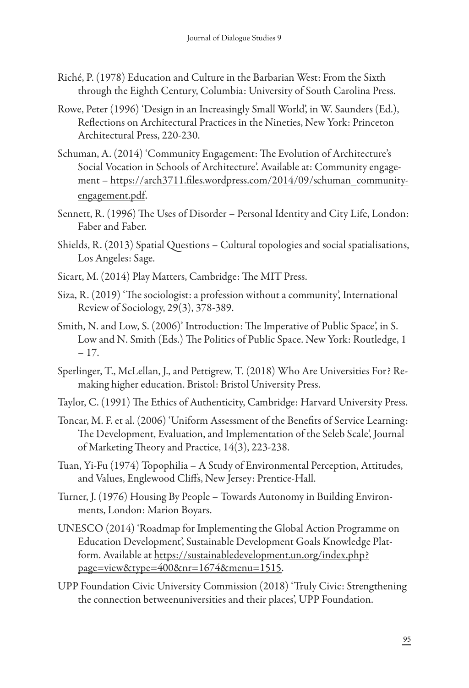- Riché, P. (1978) Education and Culture in the Barbarian West: From the Sixth through the Eighth Century, Columbia: University of South Carolina Press.
- Rowe, Peter (1996) 'Design in an Increasingly Small World', in W. Saunders (Ed.), Reflections on Architectural Practices in the Nineties, New York: Princeton Architectural Press, 220-230.
- Schuman, A. (2014) 'Community Engagement: The Evolution of Architecture's Social Vocation in Schools of Architecture'. Available at: Community engagement – https://arch3711.fi[les.wordpress.com/2014/09/schuman\\_community](https://arch3711.files.wordpress.com/2014/09/schuman_community-engagement.pdf)[engagement.pdf](https://arch3711.files.wordpress.com/2014/09/schuman_community-engagement.pdf).
- Sennett, R. (1996) The Uses of Disorder Personal Identity and City Life, London: Faber and Faber.
- Shields, R. (2013) Spatial Questions Cultural topologies and social spatialisations, Los Angeles: Sage.
- Sicart, M. (2014) Play Matters, Cambridge: The MIT Press.
- Siza, R. (2019) 'The sociologist: a profession without a community', International Review of Sociology, 29(3), 378-389.
- Smith, N. and Low, S. (2006)' Introduction: The Imperative of Public Space', in S. Low and N. Smith (Eds.) The Politics of Public Space. New York: Routledge, 1 – 17.
- Sperlinger, T., McLellan, J., and Pettigrew, T. (2018) Who Are Universities For? Remaking higher education. Bristol: Bristol University Press.
- Taylor, C. (1991) The Ethics of Authenticity, Cambridge: Harvard University Press.
- Toncar, M. F. et al. (2006) 'Uniform Assessment of the Benefits of Service Learning: The Development, Evaluation, and Implementation of the Seleb Scale', Journal of Marketing Theory and Practice,  $14(3)$ , 223-238.
- Tuan, Yi-Fu (1974) Topophilia A Study of Environmental Perception, Attitudes, and Values, Englewood Cliffs, New Jersey: Prentice-Hall.
- Turner, J. (1976) Housing By People Towards Autonomy in Building Environments, London: Marion Boyars.
- UNESCO (2014) 'Roadmap for Implementing the Global Action Programme on Education Development', Sustainable Development Goals Knowledge Platform. Available at [https://sustainabledevelopment.un.org/index.php?](https://sustainabledevelopment.un.org/index.php?page=view&type=400&nr=1674&menu=1515) [page=view&type=400&nr=1674&menu=1515.](https://sustainabledevelopment.un.org/index.php?page=view&type=400&nr=1674&menu=1515)
- UPP Foundation Civic University Commission (2018) 'Truly Civic: Strengthening the connection betweenuniversities and their places', UPP Foundation.